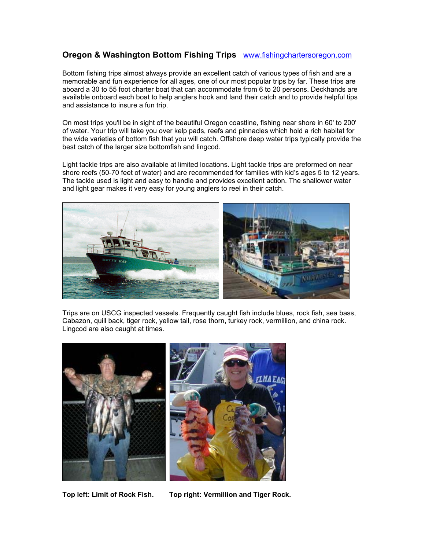## **Oregon & Washington Bottom Fishing Trips** www.fishingchartersoregon.com

Bottom fishing trips almost always provide an excellent catch of various types of fish and are a memorable and fun experience for all ages, one of our most popular trips by far. These trips are aboard a 30 to 55 foot charter boat that can accommodate from 6 to 20 persons. Deckhands are available onboard each boat to help anglers hook and land their catch and to provide helpful tips and assistance to insure a fun trip.

On most trips you'll be in sight of the beautiful Oregon coastline, fishing near shore in 60' to 200' of water. Your trip will take you over kelp pads, reefs and pinnacles which hold a rich habitat for the wide varieties of bottom fish that you will catch. Offshore deep water trips typically provide the best catch of the larger size bottomfish and lingcod.

Light tackle trips are also available at limited locations. Light tackle trips are preformed on near shore reefs (50-70 feet of water) and are recommended for families with kid's ages 5 to 12 years. The tackle used is light and easy to handle and provides excellent action. The shallower water and light gear makes it very easy for young anglers to reel in their catch.



Trips are on USCG inspected vessels. Frequently caught fish include blues, rock fish, sea bass, Cabazon, quill back, tiger rock, yellow tail, rose thorn, turkey rock, vermillion, and china rock. Lingcod are also caught at times.



**Top left: Limit of Rock Fish. Top right: Vermillion and Tiger Rock.**